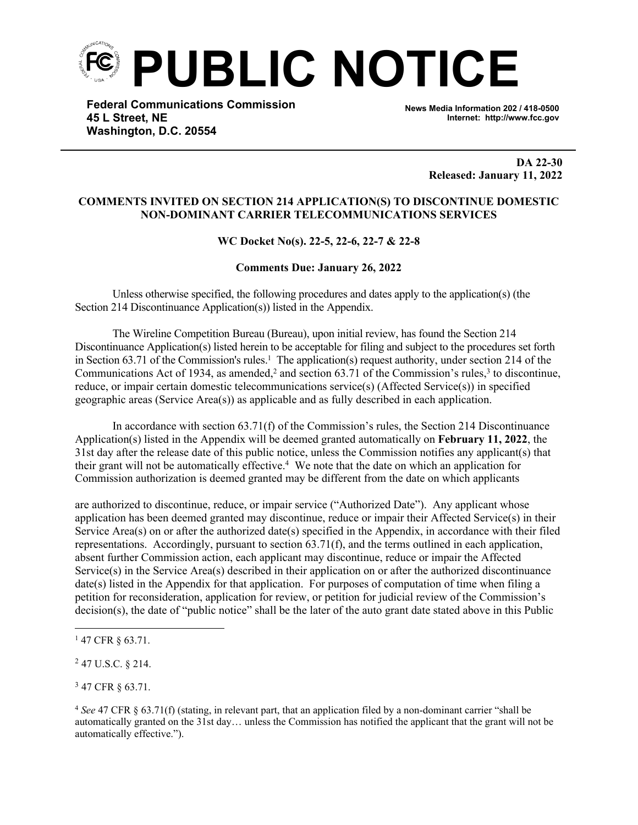

**Federal Communications Commission 45 L Street, NE Washington, D.C. 20554**

**News Media Information 202 / 418-0500 Internet: http://www.fcc.gov**

 **DA 22-30 Released: January 11, 2022**

## **COMMENTS INVITED ON SECTION 214 APPLICATION(S) TO DISCONTINUE DOMESTIC NON-DOMINANT CARRIER TELECOMMUNICATIONS SERVICES**

## **WC Docket No(s). 22-5, 22-6, 22-7 & 22-8**

## **Comments Due: January 26, 2022**

Unless otherwise specified, the following procedures and dates apply to the application(s) (the Section 214 Discontinuance Application(s)) listed in the Appendix.

The Wireline Competition Bureau (Bureau), upon initial review, has found the Section 214 Discontinuance Application(s) listed herein to be acceptable for filing and subject to the procedures set forth in Section 63.71 of the Commission's rules.<sup>1</sup> The application(s) request authority, under section 214 of the Communications Act of 1934, as amended,<sup>2</sup> and section 63.71 of the Commission's rules,<sup>3</sup> to discontinue, reduce, or impair certain domestic telecommunications service(s) (Affected Service(s)) in specified geographic areas (Service Area(s)) as applicable and as fully described in each application.

In accordance with section 63.71(f) of the Commission's rules, the Section 214 Discontinuance Application(s) listed in the Appendix will be deemed granted automatically on **February 11, 2022**, the 31st day after the release date of this public notice, unless the Commission notifies any applicant(s) that their grant will not be automatically effective.<sup>4</sup> We note that the date on which an application for Commission authorization is deemed granted may be different from the date on which applicants

are authorized to discontinue, reduce, or impair service ("Authorized Date"). Any applicant whose application has been deemed granted may discontinue, reduce or impair their Affected Service(s) in their Service Area(s) on or after the authorized date(s) specified in the Appendix, in accordance with their filed representations. Accordingly, pursuant to section 63.71(f), and the terms outlined in each application, absent further Commission action, each applicant may discontinue, reduce or impair the Affected Service(s) in the Service Area(s) described in their application on or after the authorized discontinuance date(s) listed in the Appendix for that application. For purposes of computation of time when filing a petition for reconsideration, application for review, or petition for judicial review of the Commission's decision(s), the date of "public notice" shall be the later of the auto grant date stated above in this Public

<sup>3</sup> 47 CFR § 63.71.

<sup>1</sup> 47 CFR § 63.71.

<sup>2</sup> 47 U.S.C. § 214.

<sup>4</sup> *See* 47 CFR § 63.71(f) (stating, in relevant part, that an application filed by a non-dominant carrier "shall be automatically granted on the 31st day… unless the Commission has notified the applicant that the grant will not be automatically effective.").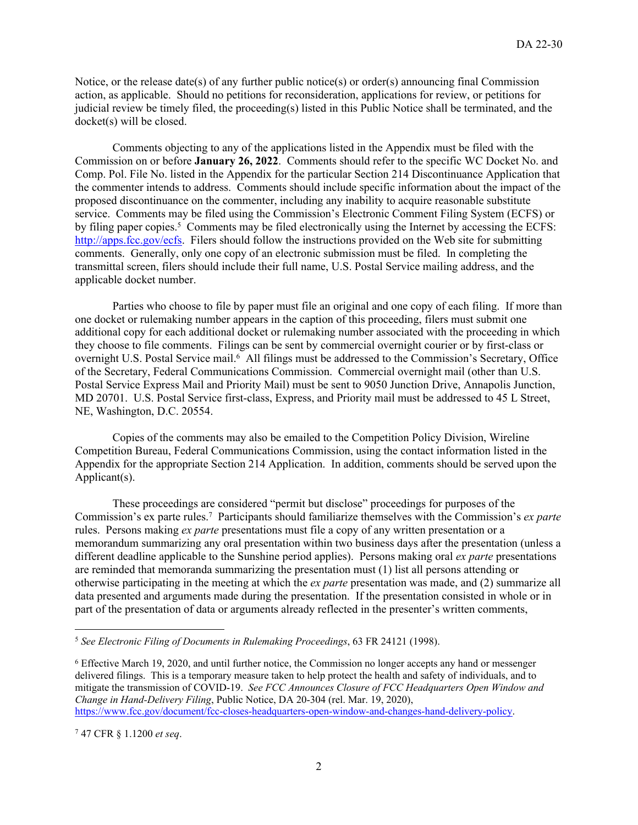Notice, or the release date(s) of any further public notice(s) or order(s) announcing final Commission action, as applicable. Should no petitions for reconsideration, applications for review, or petitions for judicial review be timely filed, the proceeding(s) listed in this Public Notice shall be terminated, and the docket(s) will be closed.

Comments objecting to any of the applications listed in the Appendix must be filed with the Commission on or before **January 26, 2022**. Comments should refer to the specific WC Docket No. and Comp. Pol. File No. listed in the Appendix for the particular Section 214 Discontinuance Application that the commenter intends to address. Comments should include specific information about the impact of the proposed discontinuance on the commenter, including any inability to acquire reasonable substitute service. Comments may be filed using the Commission's Electronic Comment Filing System (ECFS) or by filing paper copies.<sup>5</sup> Comments may be filed electronically using the Internet by accessing the ECFS: [http://apps.fcc.gov/ecfs.](http://apps.fcc.gov/ecfs) Filers should follow the instructions provided on the Web site for submitting comments. Generally, only one copy of an electronic submission must be filed. In completing the transmittal screen, filers should include their full name, U.S. Postal Service mailing address, and the applicable docket number.

Parties who choose to file by paper must file an original and one copy of each filing. If more than one docket or rulemaking number appears in the caption of this proceeding, filers must submit one additional copy for each additional docket or rulemaking number associated with the proceeding in which they choose to file comments. Filings can be sent by commercial overnight courier or by first-class or overnight U.S. Postal Service mail.<sup>6</sup> All filings must be addressed to the Commission's Secretary, Office of the Secretary, Federal Communications Commission. Commercial overnight mail (other than U.S. Postal Service Express Mail and Priority Mail) must be sent to 9050 Junction Drive, Annapolis Junction, MD 20701. U.S. Postal Service first-class, Express, and Priority mail must be addressed to 45 L Street, NE, Washington, D.C. 20554.

Copies of the comments may also be emailed to the Competition Policy Division, Wireline Competition Bureau, Federal Communications Commission, using the contact information listed in the Appendix for the appropriate Section 214 Application. In addition, comments should be served upon the Applicant(s).

These proceedings are considered "permit but disclose" proceedings for purposes of the Commission's ex parte rules.<sup>7</sup> Participants should familiarize themselves with the Commission's *ex parte* rules. Persons making *ex parte* presentations must file a copy of any written presentation or a memorandum summarizing any oral presentation within two business days after the presentation (unless a different deadline applicable to the Sunshine period applies). Persons making oral *ex parte* presentations are reminded that memoranda summarizing the presentation must (1) list all persons attending or otherwise participating in the meeting at which the *ex parte* presentation was made, and (2) summarize all data presented and arguments made during the presentation. If the presentation consisted in whole or in part of the presentation of data or arguments already reflected in the presenter's written comments,

<sup>5</sup> *See Electronic Filing of Documents in Rulemaking Proceedings*, 63 FR 24121 (1998).

<sup>6</sup> Effective March 19, 2020, and until further notice, the Commission no longer accepts any hand or messenger delivered filings. This is a temporary measure taken to help protect the health and safety of individuals, and to mitigate the transmission of COVID-19. *See FCC Announces Closure of FCC Headquarters Open Window and Change in Hand-Delivery Filing*, Public Notice, DA 20-304 (rel. Mar. 19, 2020), [https://www.fcc.gov/document/fcc-closes-headquarters-open-window-and-changes-hand-delivery-policy.](https://www.fcc.gov/document/fcc-closes-headquarters-open-window-and-changes-hand-delivery-policy)

<sup>7</sup> 47 CFR § 1.1200 *et seq*.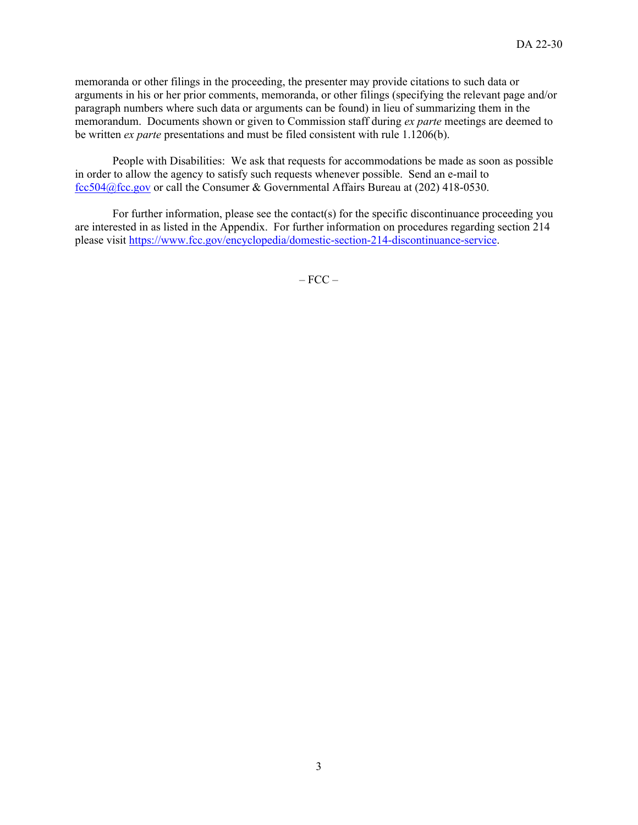memoranda or other filings in the proceeding, the presenter may provide citations to such data or arguments in his or her prior comments, memoranda, or other filings (specifying the relevant page and/or paragraph numbers where such data or arguments can be found) in lieu of summarizing them in the memorandum. Documents shown or given to Commission staff during *ex parte* meetings are deemed to be written *ex parte* presentations and must be filed consistent with rule 1.1206(b).

People with Disabilities: We ask that requests for accommodations be made as soon as possible in order to allow the agency to satisfy such requests whenever possible. Send an e-mail to [fcc504@fcc.gov](fcc504@fcc.gov%20) or call the Consumer & Governmental Affairs Bureau at (202) 418-0530.

For further information, please see the contact(s) for the specific discontinuance proceeding you are interested in as listed in the Appendix. For further information on procedures regarding section 214 please visit <https://www.fcc.gov/encyclopedia/domestic-section-214-discontinuance-service>.

 $-$  FCC  $-$